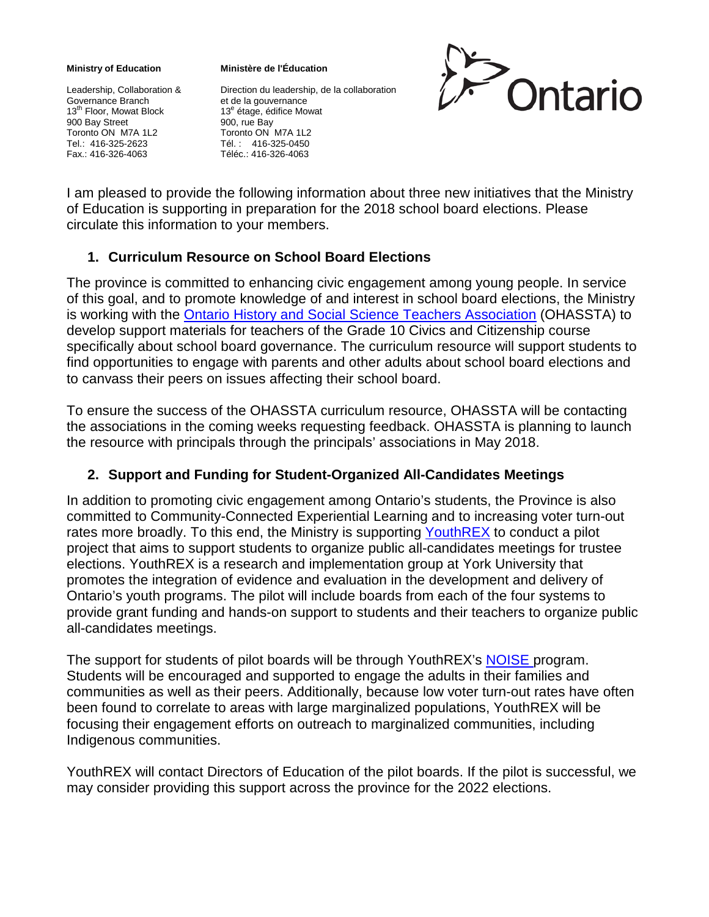## **Ministry of Education**

Leadership, Collaboration & Governance Branch 13<sup>th</sup> Floor, Mowat Block 900 Bay Street Toronto ON M7A 1L2 Tel.: 416-325-2623 Fax.: 416-326-4063

**Ministère de l'Éducation**

Direction du leadership, de la collaboration et de la gouvernance 13<sup>e</sup> étage, édifice Mowat 900, rue Bay Toronto ON M7A 1L2 Tél. : 416-325-0450 Téléc.: 416-326-4063



I am pleased to provide the following information about three new initiatives that the Ministry of Education is supporting in preparation for the 2018 school board elections. Please circulate this information to your members.

## **1. Curriculum Resource on School Board Elections**

The province is committed to enhancing civic engagement among young people. In service of this goal, and to promote knowledge of and interest in school board elections, the Ministry is working with the [Ontario History and Social Science Teachers Association](https://ohassta-aesho.education/en/resources) (OHASSTA) to develop support materials for teachers of the Grade 10 Civics and Citizenship course specifically about school board governance. The curriculum resource will support students to find opportunities to engage with parents and other adults about school board elections and to canvass their peers on issues affecting their school board.

To ensure the success of the OHASSTA curriculum resource, OHASSTA will be contacting the associations in the coming weeks requesting feedback. OHASSTA is planning to launch the resource with principals through the principals' associations in May 2018.

## **2. Support and Funding for Student-Organized All-Candidates Meetings**

In addition to promoting civic engagement among Ontario's students, the Province is also committed to Community-Connected Experiential Learning and to increasing voter turn-out rates more broadly. To this end, the Ministry is supporting [YouthREX](https://exchange.youthrex.com/youth-wellbeing/civic-engagement-youth-leadership) to conduct a pilot project that aims to support students to organize public all-candidates meetings for trustee elections. YouthREX is a research and implementation group at York University that promotes the integration of evidence and evaluation in the development and delivery of Ontario's youth programs. The pilot will include boards from each of the four systems to provide grant funding and hands-on support to students and their teachers to organize public all-candidates meetings.

The support for students of pilot boards will be through YouthREX's [NOISE p](http://youthrex.com/what-we-do/noise-2/)rogram. Students will be encouraged and supported to engage the adults in their families and communities as well as their peers. Additionally, because low voter turn-out rates have often been found to correlate to areas with large marginalized populations, YouthREX will be focusing their engagement efforts on outreach to marginalized communities, including Indigenous communities.

YouthREX will contact Directors of Education of the pilot boards. If the pilot is successful, we may consider providing this support across the province for the 2022 elections.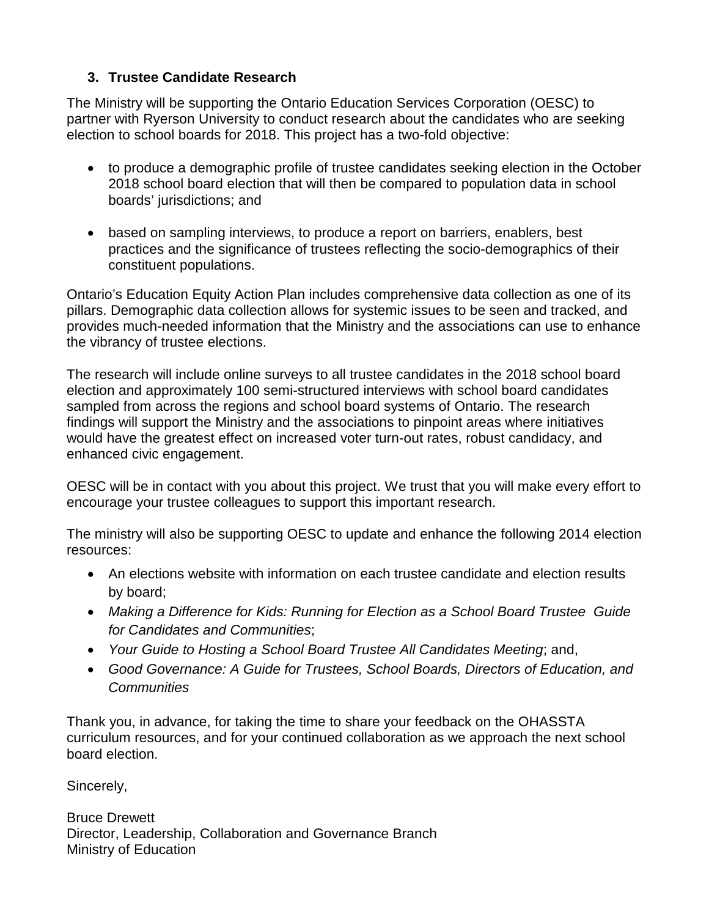## **3. Trustee Candidate Research**

The Ministry will be supporting the Ontario Education Services Corporation (OESC) to partner with Ryerson University to conduct research about the candidates who are seeking election to school boards for 2018. This project has a two-fold objective:

- to produce a demographic profile of trustee candidates seeking election in the October 2018 school board election that will then be compared to population data in school boards' jurisdictions; and
- based on sampling interviews, to produce a report on barriers, enablers, best practices and the significance of trustees reflecting the socio-demographics of their constituent populations.

Ontario's Education Equity Action Plan includes comprehensive data collection as one of its pillars. Demographic data collection allows for systemic issues to be seen and tracked, and provides much-needed information that the Ministry and the associations can use to enhance the vibrancy of trustee elections.

The research will include online surveys to all trustee candidates in the 2018 school board election and approximately 100 semi-structured interviews with school board candidates sampled from across the regions and school board systems of Ontario. The research findings will support the Ministry and the associations to pinpoint areas where initiatives would have the greatest effect on increased voter turn-out rates, robust candidacy, and enhanced civic engagement.

OESC will be in contact with you about this project. We trust that you will make every effort to encourage your trustee colleagues to support this important research.

The ministry will also be supporting OESC to update and enhance the following 2014 election resources:

- An elections website with information on each trustee candidate and election results by board;
- *Making a Difference for Kids: Running for Election as a School Board Trustee Guide for Candidates and Communities*;
- *Your Guide to Hosting a School Board Trustee All Candidates Meeting*; and,
- *Good Governance: A Guide for Trustees, School Boards, Directors of Education, and Communities*

Thank you, in advance, for taking the time to share your feedback on the OHASSTA curriculum resources, and for your continued collaboration as we approach the next school board election.

Sincerely,

Bruce Drewett Director, Leadership, Collaboration and Governance Branch Ministry of Education